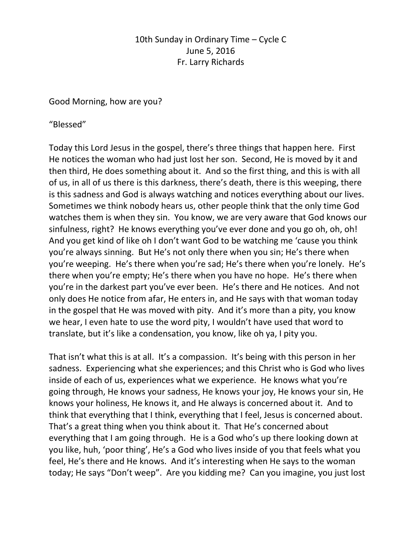10th Sunday in Ordinary Time – Cycle C June 5, 2016 Fr. Larry Richards

Good Morning, how are you?

"Blessed"

Today this Lord Jesus in the gospel, there's three things that happen here. First He notices the woman who had just lost her son. Second, He is moved by it and then third, He does something about it. And so the first thing, and this is with all of us, in all of us there is this darkness, there's death, there is this weeping, there is this sadness and God is always watching and notices everything about our lives. Sometimes we think nobody hears us, other people think that the only time God watches them is when they sin. You know, we are very aware that God knows our sinfulness, right? He knows everything you've ever done and you go oh, oh, oh! And you get kind of like oh I don't want God to be watching me 'cause you think you're always sinning. But He's not only there when you sin; He's there when you're weeping. He's there when you're sad; He's there when you're lonely. He's there when you're empty; He's there when you have no hope. He's there when you're in the darkest part you've ever been. He's there and He notices. And not only does He notice from afar, He enters in, and He says with that woman today in the gospel that He was moved with pity. And it's more than a pity, you know we hear, I even hate to use the word pity, I wouldn't have used that word to translate, but it's like a condensation, you know, like oh ya, I pity you.

That isn't what this is at all. It's a compassion. It's being with this person in her sadness. Experiencing what she experiences; and this Christ who is God who lives inside of each of us, experiences what we experience. He knows what you're going through, He knows your sadness, He knows your joy, He knows your sin, He knows your holiness, He knows it, and He always is concerned about it. And to think that everything that I think, everything that I feel, Jesus is concerned about. That's a great thing when you think about it. That He's concerned about everything that I am going through. He is a God who's up there looking down at you like, huh, 'poor thing', He's a God who lives inside of you that feels what you feel, He's there and He knows. And it's interesting when He says to the woman today; He says "Don't weep". Are you kidding me? Can you imagine, you just lost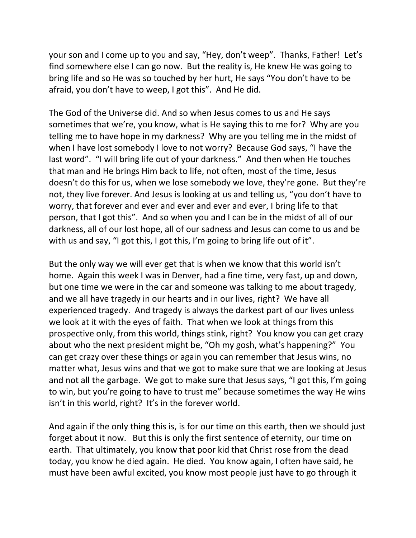your son and I come up to you and say, "Hey, don't weep". Thanks, Father! Let's find somewhere else I can go now. But the reality is, He knew He was going to bring life and so He was so touched by her hurt, He says "You don't have to be afraid, you don't have to weep, I got this". And He did.

The God of the Universe did. And so when Jesus comes to us and He says sometimes that we're, you know, what is He saying this to me for? Why are you telling me to have hope in my darkness? Why are you telling me in the midst of when I have lost somebody I love to not worry? Because God says, "I have the last word". "I will bring life out of your darkness." And then when He touches that man and He brings Him back to life, not often, most of the time, Jesus doesn't do this for us, when we lose somebody we love, they're gone. But they're not, they live forever. And Jesus is looking at us and telling us, "you don't have to worry, that forever and ever and ever and ever and ever, I bring life to that person, that I got this". And so when you and I can be in the midst of all of our darkness, all of our lost hope, all of our sadness and Jesus can come to us and be with us and say, "I got this, I got this, I'm going to bring life out of it".

But the only way we will ever get that is when we know that this world isn't home. Again this week I was in Denver, had a fine time, very fast, up and down, but one time we were in the car and someone was talking to me about tragedy, and we all have tragedy in our hearts and in our lives, right? We have all experienced tragedy. And tragedy is always the darkest part of our lives unless we look at it with the eyes of faith. That when we look at things from this prospective only, from this world, things stink, right? You know you can get crazy about who the next president might be, "Oh my gosh, what's happening?" You can get crazy over these things or again you can remember that Jesus wins, no matter what, Jesus wins and that we got to make sure that we are looking at Jesus and not all the garbage. We got to make sure that Jesus says, "I got this, I'm going to win, but you're going to have to trust me" because sometimes the way He wins isn't in this world, right? It's in the forever world.

And again if the only thing this is, is for our time on this earth, then we should just forget about it now. But this is only the first sentence of eternity, our time on earth. That ultimately, you know that poor kid that Christ rose from the dead today, you know he died again. He died. You know again, I often have said, he must have been awful excited, you know most people just have to go through it